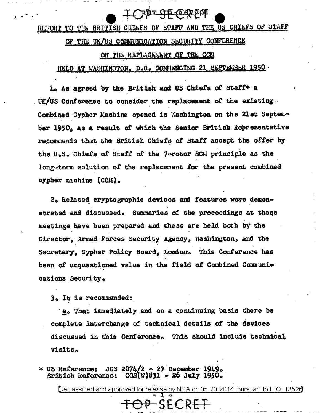rie CL (267201

#### REPORT TO THE BRITISH CHILFS OF STAFF AND THE US CHILFS OF STAFF

#### OF THE UK/US COMMUNICATION SECURITY CONFERENCE

#### ON THE REPLACEMENT OF THE CCN

#### HELD AT WASHINGTON, D.C. COMMENCING 21 SEPTEMBER 1950

1. As agreed by the British and US Chiefs of Staff\* a . UK/US Conference to consider the replacement of the existing  $\cdot$ Combined Cypher Machine opened in Washington on the 21st September 1950, as a result of which the Senior British Representative recommends that the British Chiefs of Staff accept the offer by the U.S. Chiefs of Staff of the 7-rotor BCH principle as the long-term solution of the replacement for the present combined cypher machine (CCM).

2. Related cryptographic devices and features were demonstrated and discussed. Summaries of the proceedings at these meetings have been prepared and these are held both by the Director, Armed Forces Security Agency, Washington, and the Secretary, Cypher Policy Board, London. This Conference has been of unquestioned value in the field of Combined Communications Security.

3. It is recommended:

 $\mathbf{r}$   $\sim$   $\mathbf{a}$ 

a. That immediately and on a continuing basis there be complete interchange of technical details of the devices discussed in this Conference. This should include technical visits.

 $JCS$  2074/2 - 27 December 1949. \* US Reference: British Reference:  $\cos(\pi)831 - 26$  July 1950.

Declassified and approved for release by NSA on 05-20-2014 pursuant to E.O. 13526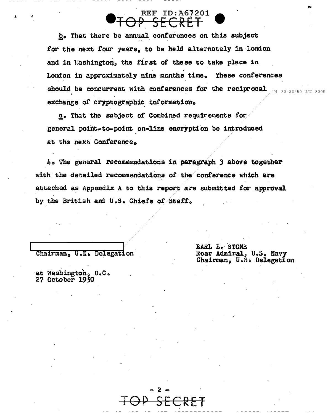### **REF ID: A67201** <del>SFCRF</del>

b. That there be annual conferences on this subject for the next four years, to be held alternately in London and in Washington, the first of these to take place in London in approximately nine months time. These conferences should be concurrent with conferences for the reciprocal  $\mathcal{L}_{\text{tot}}$ exchange of cryptographic information.

c. That the subject of Combined requirements for general point-to-point on-line encryption be introduced at the next Conference.

 $4\circ$  The general recommendations in paragraph 3 above together with the detailed recommendations of the conference which are attached as Appendix A to this report are submitted for approval by the British and U.S. Chiefs of Staff.

 $\mathbf{2}$ 

Chairman, U.K. Delegation

at Washington, D.C. 27 October 1950

EARL E. STONE Rear Admiral, U.S. Navy Chairman, U.S. Delegation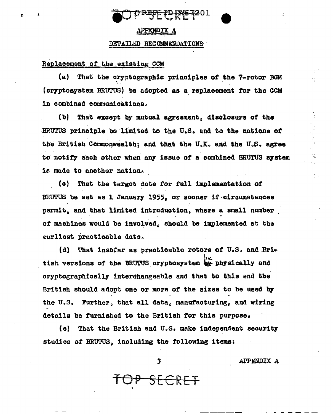

#### APPENDIX A

#### DETAILED RECOMMENDATIONS

#### Replacement of the existing CCM

 $(a)$ That the cryptographic principles of the 7-rotor BGM (cryptosystem BRUTUS) be adopted as a replacement for the CCM in combined communications.

 $(b)$ That except by mutual agreement, disclosure of the BRUTUS principle be limited to the U.S. and to the nations of the British Commonwealth; and that the U.K. and the U.S. agree to notify each other when any issue of a combined BRUTUS system is made to another nation.

(c) That the target date for full implementation of BRUTUS be set as 1 January 1955, or sooner if circumstances permit, and that limited introduction, where a small number of machines would be involved, should be implemented at the earliest practicable date.

That insofar as practicable rotors of U.S. and Bri-(d) tish versions of the BRUTUS cryptosystem be physically and cryptographically interchangeable and that to this end the British should adopt one or more of the sizes to be used by the U.S. Further, that all data, manufacturing, and wiring details be furnished to the British for this purpose.

 $\{e\}$ That the British and U.S. make independent security studies of BRUTUS, including the following items:

3

SECRET

**APPENDIX A**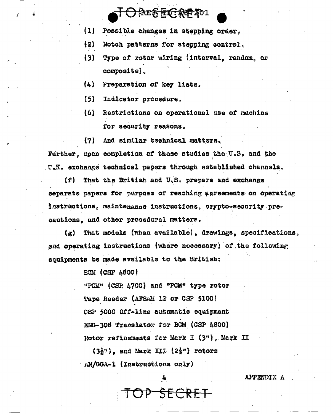## O PES EC RE 201

- (1) Possible changes in stepping order.
- $(2)$ Notch patterns for stepping control.
- (3) Type of rotor wiring (interval, random, or composite).
- $(h)$ Preparation of key lists.
- $(5)$ Indicator procedure.
- (6) Restrictions on operational use of machine for security reasons.
- And similar technical matters.  $(7)$

Further, upon completion of these studies the U.S. and the U.K. exchange technical papers through established channels.

 $\langle f \rangle$ That the British and U.S. prepare and exchange separate papers for purpose of reaching agreements on operating instructions, maintenance instructions, crypto-security precautions, and other procedural matters.

That models (when available), drawings, specifications.  $\left(\mathbf{z}\right)$ and operating instructions (where necessary) of the following souipments be made available to the British:

**BCM** (CSP 4800)

"PCM" (CSP 4700) and "PCM" type rotor Tape Reader (AFSAM 12 or CSP 5100) CSP 5000 Off-line automatic equipment ENG-308 Translator for BCM (CSP 4800) Rotor refinements for Mark I (3"), Mark II

JP SECRET

 $(3\frac{1}{2}$ . and Mark III  $(2\frac{1}{2}$ . rotors AN/GGA-1 (Instructions only)

APPENDIX A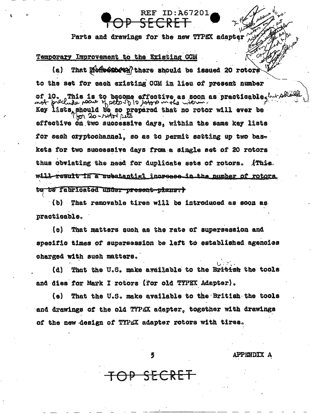Parts and drawings for the new TYPEX adapter

<del>SECRET</del>

REF ID: A67201

#### Temporary Improvement to the Existing CCM

 $(a)$ That Moneemery there should be issued 20 rotors to the set for each existing CCM in lieu of present number of 10. This is to become affective as soon as practicable, hurt Kev lists should be so prepared that no rotor will ever be  $20 - y$  and seta effective on two successive days, within the same key lists for each cryptochannel, so as to permit setting up two baskets for two successive days from a single set of 20 rotors thus obviating the need for duplicate sets of rotors. AThis will result in a substantial increase in the number of rotors. to be fabricated under present plans.)

(b) That removable tires will be introduced as soon as practicable.

 $\{c_2\}$ That matters such as the rate of supersession and specific times of supersession be left to established agencies charged with such matters.

That the U.S. make aveilable to the Br<del>itish</del> the tools (d) and dies for Mark I rotors (for old TYPEX Adapter).

That the U.S. make available to the British the tools  $(a)$ and drawings of the old TYPEX adapter, together with drawings of the new design of TYPEX adapter rotors with tires.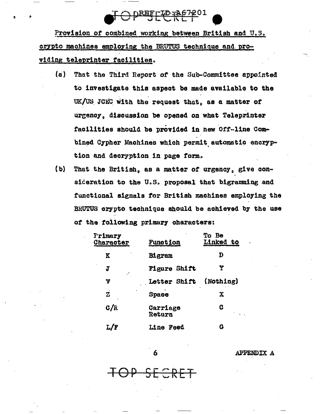

Provision of combined working between British and U.S. crypto machines employing the BRUTUS technique and providing teleprinter facilities.

- $(a)$ That the Third Report of the Sub-Committee appointed to investigate this aspect be made available to the UK/US JCEC with the request that, as a matter of urgency, discussion be opened on what Teleprinter facilities should be provided in new Off-line Combined Cypher Machines which permit automatic encryption and decryption in page form.
- $(b)$ That the British, as a matter of urgency, give consideration to the U.S. proposal that bigramming and functional signals for British machines employing the BRUTUS crypto technique should be achieved by the use of the following primary characters:

| Primary<br>Character    | Function            | To Be<br><b>Linked to</b> |
|-------------------------|---------------------|---------------------------|
| K                       | Bigram              | D                         |
| J<br>v.                 | <b>Figure Shift</b> | Y                         |
| V                       | Letter Shift        | (Nothing)                 |
| $\overline{\mathbf{z}}$ | Space               | $\mathbf x$               |
| C/R                     | Carriage<br>Return  | C                         |
|                         | <b>Line Feed</b>    | G                         |

6

<del>JP SECRET</del>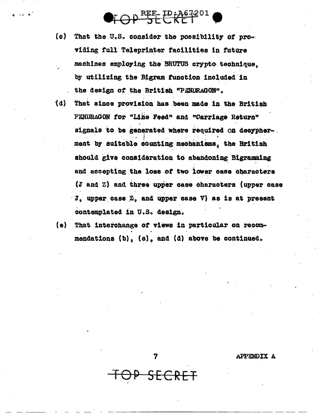$\bigcirc$ FOP SECRET

- (c) That the U.S. consider the possibility of providing full Teleprinter facilities in future machines employing the BRUTUS crypto technique. by utilizing the Bigram function included in the design of the British "PENDRAGON".
- (d) That since provision has been made in the British PENDRAGON for "Line Feed" and "Carriage Return" signals to be generated where required on decypherment by suitable counting mechanisms, the British should give consideration to abandoning Bigramming and accepting the loss of two lower case characters (J and Z) and three upper case characters (upper case J. upper case Z. and upper case V) as is at present contemplated in U.S. design.
- $(e)$ That interchange of views in particular on recommendations  $(b)$ ,  $(c)$ , and  $(d)$  above be continued.

7

SECRET

APPENDIX A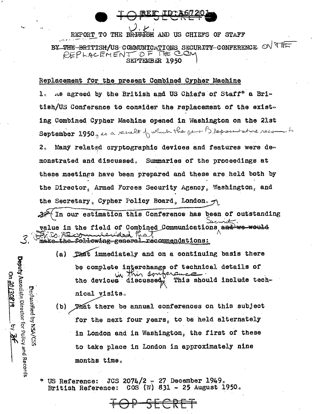REPORT TO THE BRITIEN AND US CHIEFS OF STAFF BY THE-BRITISH/US COMMUNICATIONS SECURITY CONFERENCE ON THE PEPLACEMENT OF THE CON SEPTEMBER 1950

Replacement for the present Combined Cypher Machine

As agreed by the British and US Chiefs of Staff\* a Bri- $\mathbf{1}$ . tish/US Conference to consider the replacement of the existing Combined Cypher Machine opened in Washington on the 21st September  $2950$  , as a result of which the person  $\beta$  representative recomments Many related cryptographic devices and features were de- $2<sub>o</sub>$ monstrated and discussed. Summaries of the proceedings at these meetings have been prepared and these are held both by the Director, Armed Forces Security Agency, Washington, and the Secretary, Cypher Policy Board, London.

 $\uparrow$  In our estimation this Conference has been of outstanding value in the field of Combined Communications and we would make\_the\_following-general\_recommendations:

(a) That immediately and on a continuing basis there be complete interchange of technical details of in this compera This should include techthe devices discussed nical visits.

(b) That there be annual conferences on this subject for the next four years, to be held alternately in London and in Washington, the first of these to take place in London in approximately nine months time.

JCS 2074/2 - 27 December 1949. US Reference:  $COS$  (W) 831 - 25 August 1950. British Reference:

Deputy Associate Director for Policy and Records

R

Dedicatory NSA/CSS

On. 20130819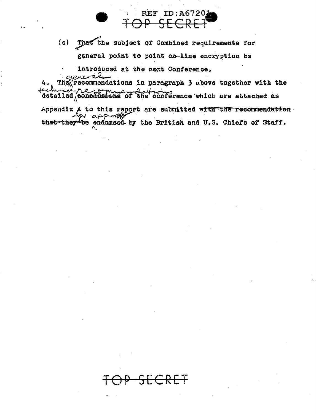(c) That the subject of Combined requirements for general point to point on-line encryption be

**REF ID: A6720** 

introduced at the next Conference.

recommendations in paragraph 3 above together with the 4. They detailed conclusions of the conference which are attached as

Appendix A to this report are submitted with the recommendation for approxes that they be endorsed by the British and U.S. Chiefs of Staff.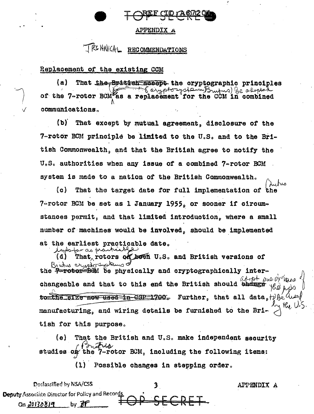#### **APPENDIX A**

## TRCHAICAL RECOMMENDATIONS

#### Replacement of the existing CCM

(a) That the British accord the cryptographic principles To expotorystern Brutus) be adopted of the 7-rotor BCM as a replacement for the CCM in combined communications.

(b) That except by mutual agreement, disclosure of the 7-rotor BCM principle be limited to the U.S. and to the British Commonwealth, and that the British agree to notify the U.S. authorities when any issue of a combined  $7 -$ rotor BCM system is made to a nation of the British Commonwealth.

(c) That the target date for full implementation of the 7-rotor BCM be set as 1 January 1955, or sooner if circumstances permit, and that limited introduction, where a small number of machines would be involved, should be implemented at the earliest practicable date. inhaber as practical

 $(d)$ That rotors on been U.S. and British versions of Brindres crypto Instanzo the <del>7-rotor BOM</del> be physically and cryptographically interario C changeable and that to this end the British should bhange to the size now used in CSP=1700. Further, that all data, the 4 manufacturing, and wiring details be furnished to the Bri tish for this purpose.

That the British and U.S. make independent security (e) ustria studies on the 7-rotor BCM, including the following items:

(1) Possible changes in stepping order.

Declassified by NSA/CSS 3 APPENDIX A Deputy Associate Director for Policy and Records On 20130819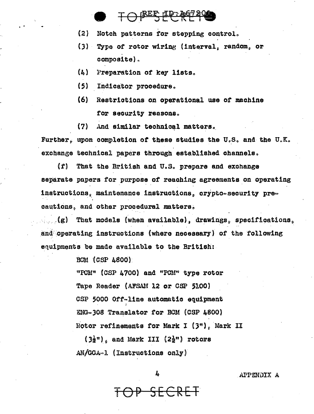## TOPESECREP

- $(2)$ Notch patterns for stepping control.
- Type of rotor wiring (interval, random, or  $(3)$ composite).
- $\{L\}$ Preparation of key lists.
- (5) Indicator procedure.
- $(6)$ Restrictions on operational use of machine for security reasons.
- $(7)$ And similar technical matters.

Further, upon completion of these studies the U.S. and the U.K. exchange technical papers through established channels.

 $\mathbf{r}$ That the British and U.S. prepare and exchange separate papers for purpose of reaching agreements on operating instructions, maintenance instructions, crypto-security precautions, and other procedural matters.

 $\mathcal{L}_{\mathcal{L}}(g)$  That models (when available), drawings, specifications, and operating instructions (where necessary) of the following equipments be made available to the British:

**BCM (CSP 4800)** 

"PCM" (CSP 4700) and "PCM" type rotor Tape Reader (AFSAM 12 or CSP 5100) CSP 5000 Off-line automatic equipment ENG-308 Translator for BCM (CSP 4800) Rotor refinements for Mark I (3"), Mark II

 $(3\frac{1}{2})$ , and Mark III  $(2\frac{1}{2})$  rotors  $AN/GGA \sim 1$  (Instructions only)

ls.

<del>DP SECRET</del>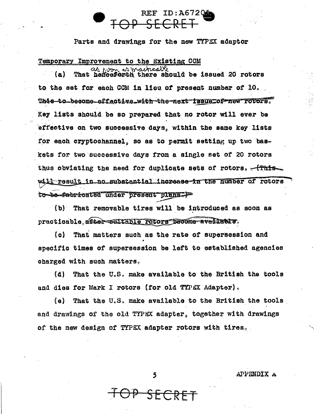# **ID:A67201**

Parts and drawings for the new TYPEX adaptor

#### Temporary Improvement to the Existing CCM

won as macricalle That henceforth there should be issued 20 rotors (a) to the set for each CCM in lieu of present number of 10. This-to-become-effective\_with-the-next-iBSUe\_of-new-rotors. Key lists should be so prepared that no rotor will ever be effective on two successive days, within the same key lists for each cryptochannel, so as to permit setting up two baskets for two successive days from a single set of 20 rotors thus obviating the need for duplicate sets of rotors. <del>(This</del> will result in no substantial increase in the number of rotors to be fabricated under present plans.)

 $(b)$  That removable tires will be introduced as soon as practicable after sultable rotors become available.

 $\alpha$ That matters such as the rate of supersession and specific times of supersession be left to established agencies charged with such matters.

That the U.S. make available to the British the tools (d) and dies for Mark I rotors (for old TYPEX Adapter).

(e) That the U.S. make available to the British the tools and drawings of the old TYPEX adapter, together with drawings of the new design of TYPEX adapter rotors with tires.

5

<del>P SFC</del>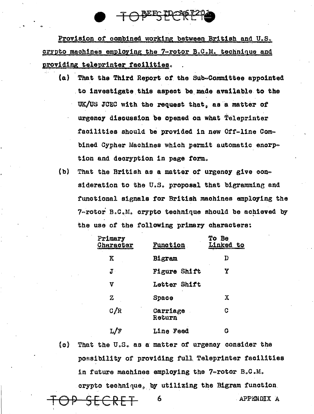<u>PEEC LI</u>

Provision of combined working between British and U.S. crypto machines employing the 7-rotor  $B_0C_0M_0$  technique and providing teleprinter facilities.

- (a) That the Third Report *ot* the Sub~Committee appointed to investigate this aspect be made available to the UK/US JCEC with the request that, as a matter of urgency discussion be opened on what Teleprinter facilities should be provided in new Off-line Combined Cypher Machines which permit automatic encrption and decryption in page form.
- (b) That the British as a matter *ot* urgenoy give oon= sideration to the U.S. proposal that bigramming and functional signals tor British machines employing the  $7$ -rotor B.C.M. crypto technique should be achieved by the use of the following primary characters:

| Primary<br>Character | <b>Function</b>     | To<br>Be<br>Linked to |
|----------------------|---------------------|-----------------------|
| K                    | Bigram              | D                     |
| $\mathbf{J}$ .       | <b>Figure Shift</b> | Y                     |
| V                    | Letter Shift        |                       |
| $\mathbf z$          | Space               | X                     |
| C/R                  | Carriage<br>Return  | C                     |
|                      | <b>Line Feed</b>    | G                     |

(o) That the U.S. as a matter of urgency consider the possibility of providing full. Teleprinter facilities in future machines employing the  $7$ -rotor B.C.M. crypto technique, by utilizing the Bigram function.

TOP SECRET 6 APPENDIX A